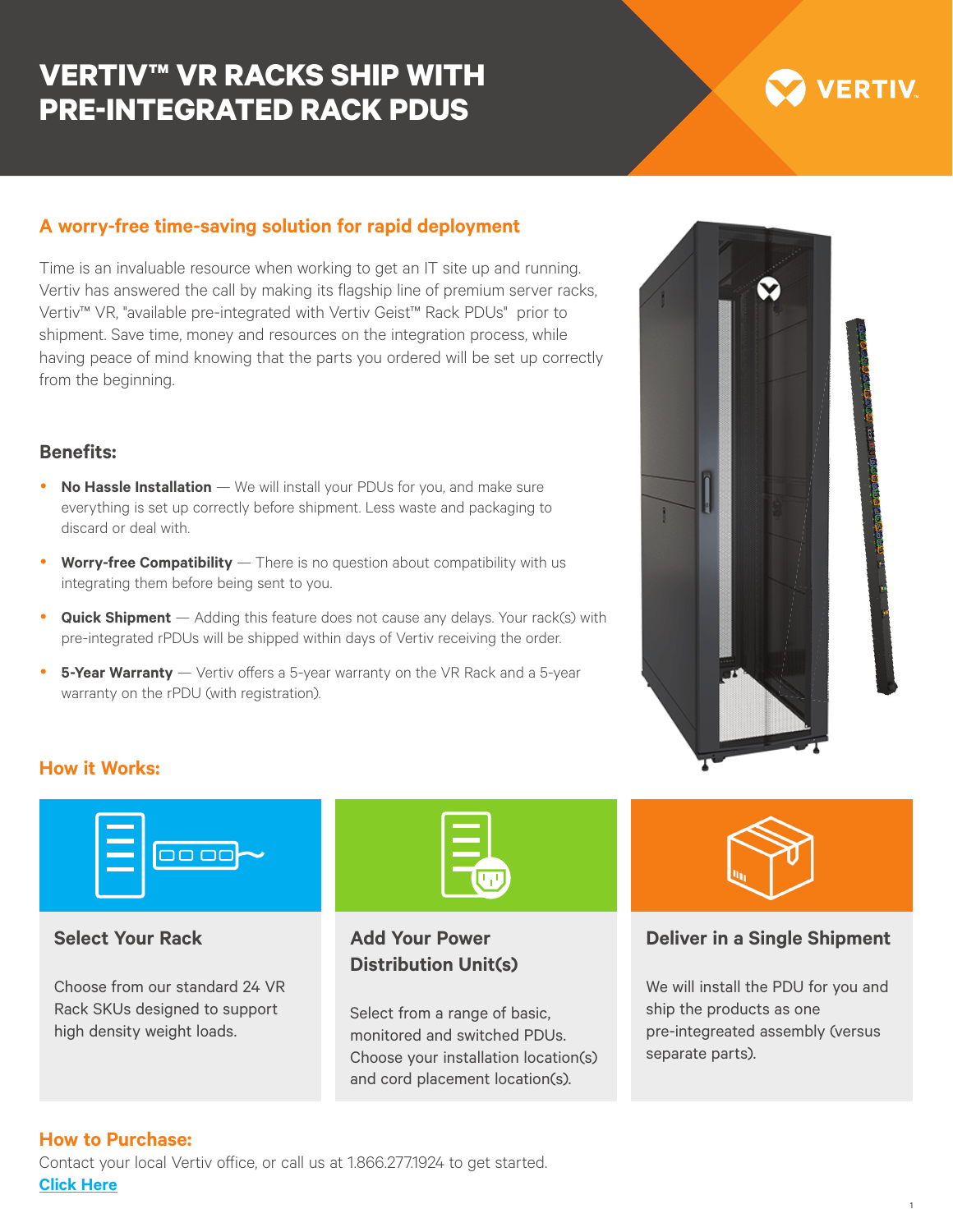## **VERTIV™ VR RACKS SHIP WITH PRE-INTEGRATED RACK PDUS**

# **VERTIV**

## **A worry-free time-saving solution for rapid deployment**

Time is an invaluable resource when working to get an IT site up and running. Vertiv has answered the call by making its flagship line of premium server racks, Vertiv™ VR, "available pre-integrated with Vertiv Geist™ Rack PDUs" prior to shipment. Save time, money and resources on the integration process, while having peace of mind knowing that the parts you ordered will be set up correctly from the beginning.

#### **Benefits:**

- **No Hassle Installation** We will install your PDUs for you, and make sure everything is set up correctly before shipment. Less waste and packaging to discard or deal with.
- **Worry-free Compatibility** There is no question about compatibility with us integrating them before being sent to you.
- **Quick Shipment** Adding this feature does not cause any delays. Your rack(s) with pre-integrated rPDUs will be shipped within days of Vertiv receiving the order.
- **5-Year Warranty** Vertiv offers a 5-year warranty on the VR Rack and a 5-year warranty on the rPDU (with registration).



## **How it Works:**



#### **Select Your Rack**

Choose from our standard 24 VR Rack SKUs designed to support high density weight loads.



## **Add Your Power Distribution Unit(s)**

Select from a range of basic, monitored and switched PDUs. Choose your installation location(s) and cord placement location(s).



#### **Deliver in a Single Shipment**

We will install the PDU for you and ship the products as one pre-integreated assembly (versus separate parts).

#### **How to Purchase:**

Contact your local Vertiv office, or call us at 1.866.277.1924 to get started. **Click Here**